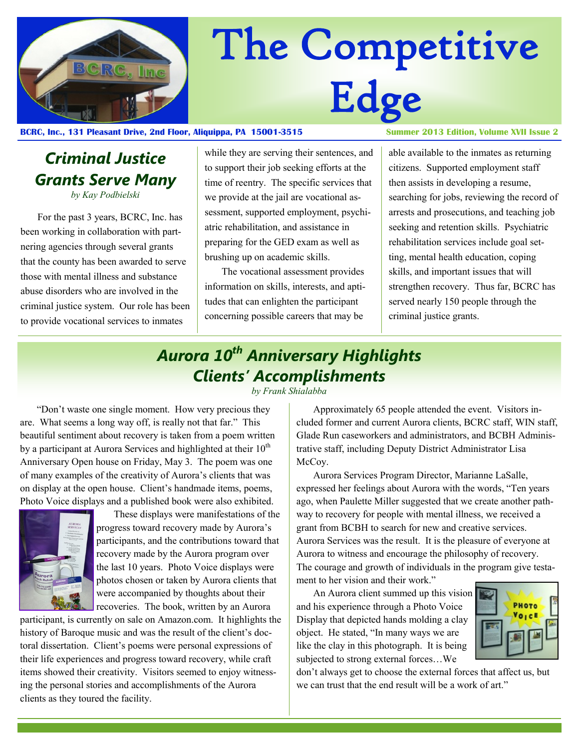

# The Competitive Edge

#### **BCRC, Inc., 131 Pleasant Drive, 2nd Floor, Aliquippa, PA 15001-3515 Summer 2013 Edition, Volume XVII Issue 2**

# *Criminal Justice Grants Serve Many*

*by Kay Podbielski*

For the past 3 years, BCRC, Inc. has been working in collaboration with partnering agencies through several grants that the county has been awarded to serve those with mental illness and substance abuse disorders who are involved in the criminal justice system. Our role has been to provide vocational services to inmates

while they are serving their sentences, and to support their job seeking efforts at the time of reentry. The specific services that we provide at the jail are vocational assessment, supported employment, psychiatric rehabilitation, and assistance in preparing for the GED exam as well as brushing up on academic skills.

The vocational assessment provides information on skills, interests, and aptitudes that can enlighten the participant concerning possible careers that may be

able available to the inmates as returning citizens. Supported employment staff then assists in developing a resume, searching for jobs, reviewing the record of arrests and prosecutions, and teaching job seeking and retention skills. Psychiatric rehabilitation services include goal setting, mental health education, coping skills, and important issues that will strengthen recovery. Thus far, BCRC has served nearly 150 people through the criminal justice grants.

## *Aurora 10th Anniversary Highlights Clients' Accomplishments*

*by Frank Shialabba*

"Don't waste one single moment. How very precious they are. What seems a long way off, is really not that far." This beautiful sentiment about recovery is taken from a poem written by a participant at Aurora Services and highlighted at their  $10<sup>th</sup>$ Anniversary Open house on Friday, May 3. The poem was one of many examples of the creativity of Aurora's clients that was on display at the open house. Client's handmade items, poems, Photo Voice displays and a published book were also exhibited.



 These displays were manifestations of the progress toward recovery made by Aurora's participants, and the contributions toward that recovery made by the Aurora program over the last 10 years. Photo Voice displays were photos chosen or taken by Aurora clients that were accompanied by thoughts about their recoveries. The book, written by an Aurora

participant, is currently on sale on Amazon.com. It highlights the history of Baroque music and was the result of the client's doctoral dissertation. Client's poems were personal expressions of their life experiences and progress toward recovery, while craft items showed their creativity. Visitors seemed to enjoy witnessing the personal stories and accomplishments of the Aurora clients as they toured the facility.

Approximately 65 people attended the event. Visitors included former and current Aurora clients, BCRC staff, WIN staff, Glade Run caseworkers and administrators, and BCBH Administrative staff, including Deputy District Administrator Lisa McCoy.

Aurora Services Program Director, Marianne LaSalle, expressed her feelings about Aurora with the words, "Ten years ago, when Paulette Miller suggested that we create another pathway to recovery for people with mental illness, we received a grant from BCBH to search for new and creative services. Aurora Services was the result. It is the pleasure of everyone at Aurora to witness and encourage the philosophy of recovery. The courage and growth of individuals in the program give testament to her vision and their work."

An Aurora client summed up this vision and his experience through a Photo Voice Display that depicted hands molding a clay object. He stated, "In many ways we are like the clay in this photograph. It is being subjected to strong external forces…We



don't always get to choose the external forces that affect us, but we can trust that the end result will be a work of art."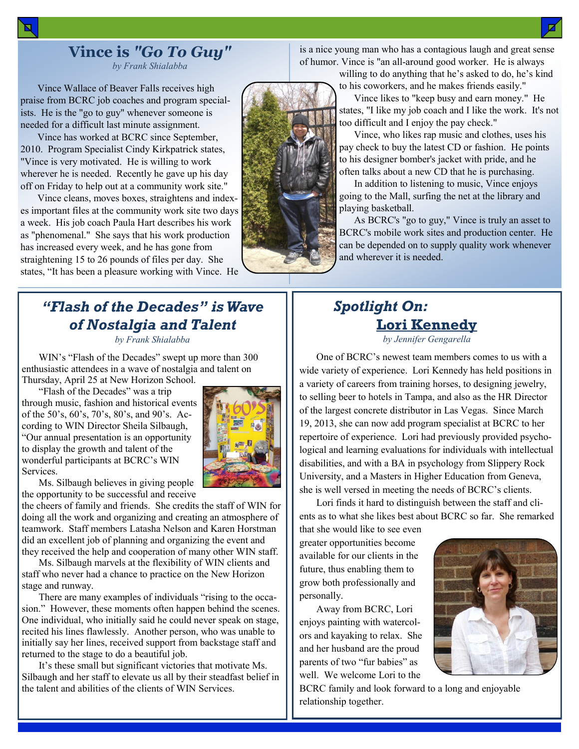Vince Wallace of Beaver Falls receives high praise from BCRC job coaches and program specialists. He is the "go to guy" whenever someone is needed for a difficult last minute assignment.

Vince has worked at BCRC since September, 2010. Program Specialist Cindy Kirkpatrick states, "Vince is very motivated. He is willing to work wherever he is needed. Recently he gave up his day off on Friday to help out at a community work site."

Vince cleans, moves boxes, straightens and indexes important files at the community work site two days a week. His job coach Paula Hart describes his work as "phenomenal." She says that his work production has increased every week, and he has gone from straightening 15 to 26 pounds of files per day. She states, "It has been a pleasure working with Vince. He

### *"Flash of the Decades" is Wave of Nostalgia and Talent*

*by Frank Shialabba*

WIN's "Flash of the Decades" swept up more than 300 enthusiastic attendees in a wave of nostalgia and talent on Thursday, April 25 at New Horizon School.

"Flash of the Decades" was a trip through music, fashion and historical events of the 50's, 60's, 70's, 80's, and 90's. According to WIN Director Sheila Silbaugh, "Our annual presentation is an opportunity to display the growth and talent of the wonderful participants at BCRC's WIN Services.



Ms. Silbaugh believes in giving people the opportunity to be successful and receive

the cheers of family and friends. She credits the staff of WIN for doing all the work and organizing and creating an atmosphere of teamwork. Staff members Latasha Nelson and Karen Horstman did an excellent job of planning and organizing the event and they received the help and cooperation of many other WIN staff.

Ms. Silbaugh marvels at the flexibility of WIN clients and staff who never had a chance to practice on the New Horizon stage and runway.

There are many examples of individuals "rising to the occasion." However, these moments often happen behind the scenes. One individual, who initially said he could never speak on stage, recited his lines flawlessly. Another person, who was unable to initially say her lines, received support from backstage staff and returned to the stage to do a beautiful job.

It's these small but significant victories that motivate Ms. Silbaugh and her staff to elevate us all by their steadfast belief in the talent and abilities of the clients of WIN Services.

is a nice young man who has a contagious laugh and great sense of humor. Vince is "an all-around good worker. He is always

> willing to do anything that he's asked to do, he's kind to his coworkers, and he makes friends easily."

 Vince likes to "keep busy and earn money." He states, "I like my job coach and I like the work. It's not too difficult and I enjoy the pay check."

 Vince, who likes rap music and clothes, uses his pay check to buy the latest CD or fashion. He points to his designer bomber's jacket with pride, and he often talks about a new CD that he is purchasing.

 In addition to listening to music, Vince enjoys going to the Mall, surfing the net at the library and playing basketball.

 As BCRC's "go to guy," Vince is truly an asset to BCRC's mobile work sites and production center. He can be depended on to supply quality work whenever and wherever it is needed.

## *Spotlight On:*  **Lori Kennedy**

*by Jennifer Gengarella*

One of BCRC's newest team members comes to us with a wide variety of experience. Lori Kennedy has held positions in a variety of careers from training horses, to designing jewelry, to selling beer to hotels in Tampa, and also as the HR Director of the largest concrete distributor in Las Vegas. Since March 19, 2013, she can now add program specialist at BCRC to her repertoire of experience. Lori had previously provided psychological and learning evaluations for individuals with intellectual disabilities, and with a BA in psychology from Slippery Rock University, and a Masters in Higher Education from Geneva, she is well versed in meeting the needs of BCRC's clients.

Lori finds it hard to distinguish between the staff and clients as to what she likes best about BCRC so far. She remarked

that she would like to see even greater opportunities become available for our clients in the future, thus enabling them to grow both professionally and personally.

Away from BCRC, Lori enjoys painting with watercolors and kayaking to relax. She and her husband are the proud parents of two "fur babies" as well. We welcome Lori to the



BCRC family and look forward to a long and enjoyable relationship together.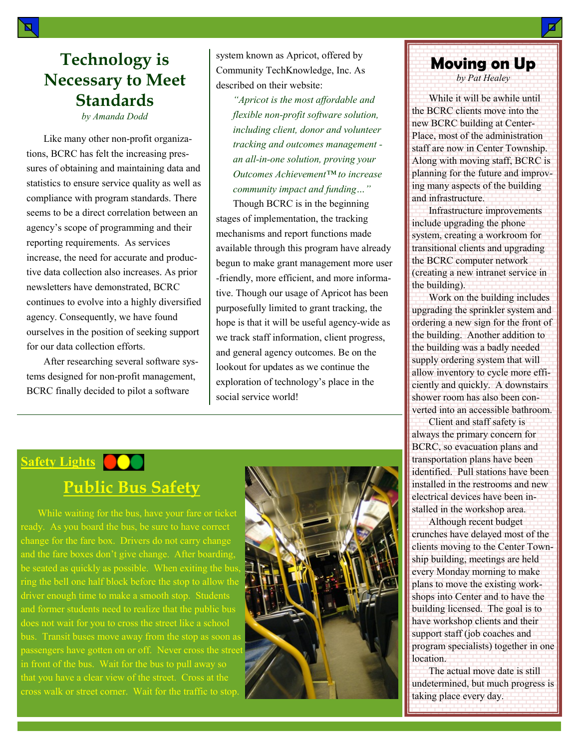## **Technology is Necessary to Meet Standards**

*by Amanda Dodd*

Like many other non-profit organizations, BCRC has felt the increasing pressures of obtaining and maintaining data and statistics to ensure service quality as well as compliance with program standards. There seems to be a direct correlation between an agency's scope of programming and their reporting requirements. As services increase, the need for accurate and productive data collection also increases. As prior newsletters have demonstrated, BCRC continues to evolve into a highly diversified agency. Consequently, we have found ourselves in the position of seeking support for our data collection efforts.

After researching several software systems designed for non-profit management, BCRC finally decided to pilot a software

system known as Apricot, offered by Community TechKnowledge, Inc. As described on their website:

*"Apricot is the most affordable and flexible non-profit software solution, including client, donor and volunteer tracking and outcomes management an all-in-one solution, proving your Outcomes Achievement™ to increase community impact and funding…"*

Though BCRC is in the beginning stages of implementation, the tracking mechanisms and report functions made available through this program have already begun to make grant management more user -friendly, more efficient, and more informative. Though our usage of Apricot has been purposefully limited to grant tracking, the hope is that it will be useful agency-wide as we track staff information, client progress, and general agency outcomes. Be on the lookout for updates as we continue the exploration of technology's place in the social service world!

# **Moving on Up**

*by Pat Healey*

While it will be awhile until the BCRC clients move into the new BCRC building at Center-Place, most of the administration staff are now in Center Township. Along with moving staff, BCRC is planning for the future and improving many aspects of the building and infrastructure.

Infrastructure improvements include upgrading the phone system, creating a workroom for transitional clients and upgrading the BCRC computer network (creating a new intranet service in the building).

Work on the building includes upgrading the sprinkler system and ordering a new sign for the front of the building. Another addition to the building was a badly needed supply ordering system that will allow inventory to cycle more efficiently and quickly. A downstairs shower room has also been converted into an accessible bathroom.

Client and staff safety is always the primary concern for BCRC, so evacuation plans and transportation plans have been identified. Pull stations have been installed in the restrooms and new electrical devices have been installed in the workshop area.

Although recent budget crunches have delayed most of the clients moving to the Center Township building, meetings are held every Monday morning to make plans to move the existing workshops into Center and to have the building licensed. The goal is to have workshop clients and their support staff (job coaches and program specialists) together in one location.

The actual move date is still undetermined, but much progress is taking place every day.

# **Safety Lights Public Bus Safety**

While waiting for the bus, have your fare or ticket ready. As you board the bus, be sure to have correct change for the fare box. Drivers do not carry change and the fare boxes don't give change. After boarding, be seated as quickly as possible. When exiting the bus ring the bell one half block before the stop to allow the driver enough time to make a smooth stop. Students and former students need to realize that the public bus bus. Transit buses move away from the stop as soon as passengers have gotten on or off. Never cross the stree in front of the bus. Wait for the bus to pull away so cross walk or street corner. Wait for the traffic to stop.